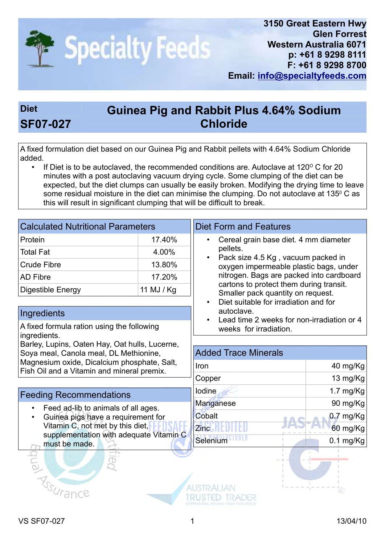

## Diet **Guinea Pig and Rabbit Plus 4.64% Sodium** SF07-027 Chloride

A fixed formulation diet based on our Guinea Pig and Rabbit pellets with 4.64% Sodium Chloride added.

If Diet is to be autoclaved, the recommended conditions are. Autoclave at  $120^{\circ}$  C for 20 minutes with a post autoclaving vacuum drying cycle. Some clumping of the diet can be expected, but the diet clumps can usually be easily broken. Modifying the drying time to leave some residual moisture in the diet can minimise the clumping. Do not autoclave at 135º C as this will result in significant clumping that will be difficult to break.

| <b>Calculated Nutritional Parameters</b>                                                                                                                                              |            | <b>Diet Form and Features</b>                                                                                                                                                                           |             |  |  |
|---------------------------------------------------------------------------------------------------------------------------------------------------------------------------------------|------------|---------------------------------------------------------------------------------------------------------------------------------------------------------------------------------------------------------|-------------|--|--|
| Protein                                                                                                                                                                               | 17.40%     | Cereal grain base diet. 4 mm diameter<br>$\bullet$<br>pellets.<br>Pack size 4.5 Kg, vacuum packed in<br>$\bullet$<br>oxygen impermeable plastic bags, under<br>nitrogen. Bags are packed into cardboard |             |  |  |
| <b>Total Fat</b>                                                                                                                                                                      | 4.00%      |                                                                                                                                                                                                         |             |  |  |
| <b>Crude Fibre</b>                                                                                                                                                                    | 13.80%     |                                                                                                                                                                                                         |             |  |  |
| <b>AD Fibre</b>                                                                                                                                                                       | 17.20%     |                                                                                                                                                                                                         |             |  |  |
| Digestible Energy                                                                                                                                                                     | 11 MJ / Kg | cartons to protect them during transit.<br>Smaller pack quantity on request.                                                                                                                            |             |  |  |
|                                                                                                                                                                                       |            | Diet suitable for irradiation and for<br>$\bullet$                                                                                                                                                      |             |  |  |
| Ingredients                                                                                                                                                                           |            | autoclave.<br>Lead time 2 weeks for non-irradiation or 4                                                                                                                                                |             |  |  |
| A fixed formula ration using the following<br>ingredients.                                                                                                                            |            | weeks for irradiation.                                                                                                                                                                                  |             |  |  |
| Barley, Lupins, Oaten Hay, Oat hulls, Lucerne,<br>Soya meal, Canola meal, DL Methionine,<br>Magnesium oxide, Dicalcium phosphate, Salt,<br>Fish Oil and a Vitamin and mineral premix. |            |                                                                                                                                                                                                         |             |  |  |
|                                                                                                                                                                                       |            | <b>Added Trace Minerals</b>                                                                                                                                                                             |             |  |  |
|                                                                                                                                                                                       |            | Iron                                                                                                                                                                                                    | 40 mg/Kg    |  |  |
|                                                                                                                                                                                       |            | Copper                                                                                                                                                                                                  | 13 mg/Kg    |  |  |
| <b>Feeding Recommendations</b>                                                                                                                                                        |            | lodine                                                                                                                                                                                                  | 1.7 $mg/Kg$ |  |  |
| Feed ad-lib to animals of all ages.<br>Guinea pigs have a requirement for                                                                                                             |            | Manganese                                                                                                                                                                                               | 90 mg/Kg    |  |  |
|                                                                                                                                                                                       |            | Cobalt                                                                                                                                                                                                  | $0.7$ mg/Kg |  |  |
| Vitamin C, not met by this diet,                                                                                                                                                      |            | <b>Zinc</b>                                                                                                                                                                                             | 60 mg/Kg    |  |  |
| supplementation with adequate Vitamin C<br>must be made.                                                                                                                              |            | Selenium                                                                                                                                                                                                | $0.1$ mg/Kg |  |  |
|                                                                                                                                                                                       |            |                                                                                                                                                                                                         |             |  |  |
| <b>RISSURA</b>                                                                                                                                                                        |            |                                                                                                                                                                                                         | $\circ$     |  |  |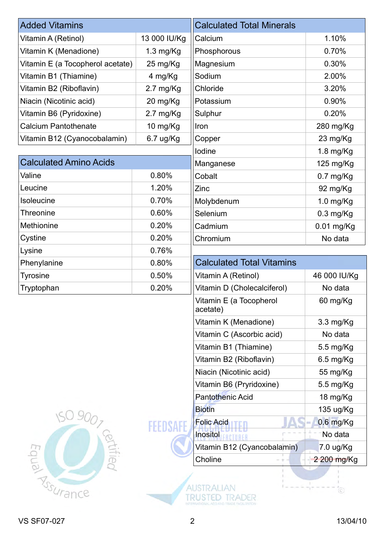| <b>Added Vitamins</b>            |                     | <b>Calculated Total Minerals</b>    |              |
|----------------------------------|---------------------|-------------------------------------|--------------|
| Vitamin A (Retinol)              | 13 000 IU/Kg        | Calcium                             | 1.10%        |
| Vitamin K (Menadione)            | $1.3$ mg/Kg         | Phosphorous                         | 0.70%        |
| Vitamin E (a Tocopherol acetate) | 25 mg/Kg            | Magnesium                           | 0.30%        |
| Vitamin B1 (Thiamine)            | 4 mg/Kg             | Sodium                              | 2.00%        |
| Vitamin B2 (Riboflavin)          | $2.7 \text{ mg/Kg}$ | Chloride                            | 3.20%        |
| Niacin (Nicotinic acid)          | 20 mg/Kg            | Potassium                           | 0.90%        |
| Vitamin B6 (Pyridoxine)          | $2.7 \text{ mg/Kg}$ | Sulphur                             | 0.20%        |
| <b>Calcium Pantothenate</b>      | 10 mg/Kg            | Iron                                | 280 mg/Kg    |
| Vitamin B12 (Cyanocobalamin)     | 6.7 ug/Kg           | Copper                              | 23 mg/Kg     |
|                                  |                     | lodine                              | $1.8$ mg/Kg  |
| <b>Calculated Amino Acids</b>    |                     | Manganese                           | 125 mg/Kg    |
| Valine                           | 0.80%               | Cobalt                              | $0.7$ mg/Kg  |
| Leucine                          | 1.20%               | Zinc                                | 92 mg/Kg     |
| Isoleucine                       | 0.70%               | Molybdenum                          | 1.0 mg/Kg    |
| <b>Threonine</b>                 | 0.60%               | Selenium                            | $0.3$ mg/Kg  |
| Methionine                       | 0.20%               | Cadmium                             | $0.01$ mg/Kg |
| Cystine                          | 0.20%               | Chromium                            | No data      |
| Lysine                           | 0.76%               |                                     |              |
| Phenylanine                      | 0.80%               | <b>Calculated Total Vitamins</b>    |              |
| <b>Tyrosine</b>                  | 0.50%               | Vitamin A (Retinol)                 | 46 000 IU/Kg |
| Tryptophan                       | 0.20%               | Vitamin D (Cholecalciferol)         | No data      |
|                                  |                     | Vitamin E (a Tocopherol<br>acetate) | 60 mg/Kg     |
|                                  |                     | Vitamin K (Menadione)               | 3.3 mg/Kg    |
|                                  |                     | Vitamin C (Ascorbic acid)           | No data      |
|                                  |                     | Vitamin B1 (Thiamine)               | 5.5 mg/Kg    |
|                                  |                     | Vitamin B2 (Riboflavin)             | $6.5$ mg/Kg  |
|                                  |                     | Niacin (Nicotinic acid)             | 55 mg/Kg     |
|                                  |                     | Vitamin B6 (Pryridoxine)            | 5.5 mg/Kg    |
|                                  |                     | <b>Pantothenic Acid</b>             | 18 mg/Kg     |
|                                  |                     | <b>Biotin</b>                       | 135 ug/Kg    |
|                                  |                     | <b>Folic Acid</b>                   | 0.6 mg/Kg    |
|                                  |                     | Inositol                            | No data      |
| rtified                          |                     | Vitamin B12 (Cyancobalamin)         | 7.0 ug/Kg    |
|                                  |                     | Choline                             | 2 200 mg/Kg  |
| Acrimance                        |                     |                                     | $^{\circ}$   |